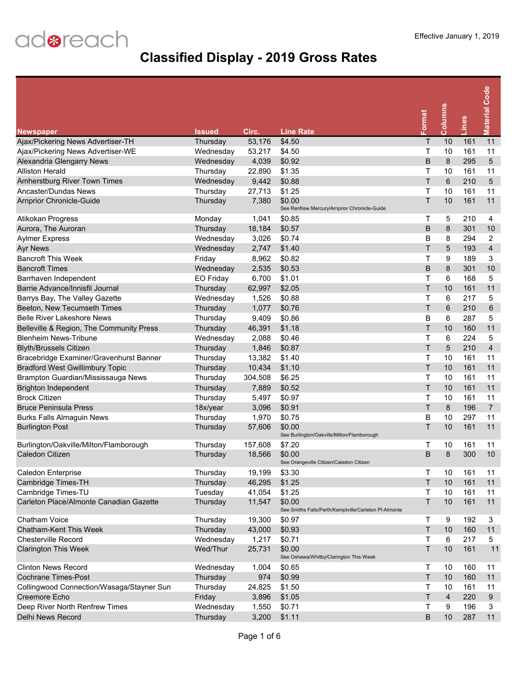| <b>Newspaper</b>                          | <b>Issued</b> | Circ.   | <b>Line Rate</b>                                                | Format | Columns        | Lines | <b>Material Code</b> |
|-------------------------------------------|---------------|---------|-----------------------------------------------------------------|--------|----------------|-------|----------------------|
| Ajax/Pickering News Advertiser-TH         | Thursday      | 53,176  | \$4.50                                                          | Τ      | 10             | 161   | 11                   |
| Ajax/Pickering News Advertiser-WE         | Wednesday     | 53,217  | \$4.50                                                          | Т      | 10             | 161   | 11                   |
| Alexandria Glengarry News                 | Wednesday     | 4,039   | \$0.92                                                          | B      | 8              | 295   | 5                    |
| <b>Alliston Herald</b>                    | Thursday      | 22,890  | \$1.35                                                          | Τ      | 10             | 161   | 11                   |
| Amherstburg River Town Times              | Wednesday     | 9,442   | \$0.88                                                          | T      | 6              | 210   | 5                    |
| Ancaster/Dundas News                      | Thursday      | 27,713  | \$1.25                                                          | Τ      | 10             | 161   | 11                   |
| <b>Arnprior Chronicle-Guide</b>           | Thursday      | 7,380   | \$0.00<br>See Renfrew Mercury/Arnprior Chronicle-Guide          | Τ      | 10             | 161   | 11                   |
| Atikokan Progress                         | Monday        | 1,041   | \$0.85                                                          | т      | 5              | 210   | 4                    |
| Aurora, The Auroran                       | Thursday      | 18,184  | \$0.57                                                          | B      | 8              | 301   | 10                   |
| <b>Aylmer Express</b>                     | Wednesday     | 3,026   | \$0.74                                                          | B      | 8              | 294   | $\overline{2}$       |
| <b>Ayr News</b>                           | Wednesday     | 2,747   | \$1.40                                                          | T      | 5              | 193   | $\overline{4}$       |
| <b>Bancroft This Week</b>                 | Friday        | 8,962   | \$0.82                                                          | Т      | 9              | 189   | 3                    |
| <b>Bancroft Times</b>                     | Wednesday     | 2,535   | \$0.53                                                          | B      | 8              | 301   | 10                   |
| Barrhaven Independent                     | EO Friday     | 6,700   | \$1.01                                                          | T      | 6              | 168   | 5                    |
| Barrie Advance/Innisfil Journal           | Thursday      | 62,997  | \$2.05                                                          | T      | 10             | 161   | 11                   |
| Barrys Bay, The Valley Gazette            | Wednesday     | 1,526   | \$0.88                                                          | т      | 6              | 217   | 5                    |
| Beeton, New Tecumseth Times               | Thursday      | 1,077   | \$0.76                                                          | Τ      | 6              | 210   | 6                    |
| <b>Belle River Lakeshore News</b>         | Thursday      | 9,409   | \$0.86                                                          | B      | 6              | 287   | 5                    |
| Belleville & Region, The Community Press  | Thursday      | 46,391  | \$1.18                                                          | Τ      | 10             | 160   | 11                   |
| <b>Blenheim News-Tribune</b>              | Wednesday     | 2,088   | \$0.46                                                          | т      | 6              | 224   | 5                    |
| <b>Blyth/Brussels Citizen</b>             | Thursday      | 1,846   | \$0.87                                                          | Τ      | 5              | 210   | $\overline{4}$       |
| Bracebridge Examiner/Gravenhurst Banner   | Thursday      | 13,382  | \$1.40                                                          | Т      | 10             | 161   | 11                   |
| <b>Bradford West Gwillimbury Topic</b>    | Thursday      | 10,434  | \$1.10                                                          | Τ      | 10             | 161   | 11                   |
| Brampton Guardian/Mississauga News        | Thursday      | 304,508 | \$6.25                                                          | Τ      | 10             | 161   | 11                   |
| <b>Brighton Independent</b>               | Thursday      | 7,889   | \$0.52                                                          | T      | 10             | 161   | 11                   |
| <b>Brock Citizen</b>                      | Thursday      | 5,497   | \$0.97                                                          | Т      | 10             | 161   | 11                   |
| <b>Bruce Peninsula Press</b>              | 18x/year      | 3,096   | \$0.91                                                          | Τ      | 8              | 196   | $\overline{7}$       |
| <b>Burks Falls Almaguin News</b>          | Thursday      | 1,970   | \$0.75                                                          | В      | 10             | 297   | 11                   |
| <b>Burlington Post</b>                    | Thursday      | 57,606  | \$0.00<br>See Burlington/Oakville/Milton/Flamborough            | Τ      | 10             | 161   | 11                   |
| Burlington/Oakville/Milton/Flamborough    | Thursday      | 157,608 | \$7.20                                                          | т      | 10             | 161   | 11                   |
| Caledon Citizen                           | Thursday      | 18,566  | \$0.00<br>See Orangeville Citizen/Caledon Citizen               | B      | 8              | 300   | 10                   |
| Caledon Enterprise                        | Thursday      | 19,199  | \$3.30                                                          | Τ      | 10             | 161   | 11                   |
| Cambridge Times-TH                        | Thursday      | 46,295  | \$1.25                                                          | T      | 10             | 161   | 11                   |
| Cambridge Times-TU                        | Tuesday       | 41,054  | \$1.25                                                          | Τ      | 10             | 161   | 11                   |
| Carleton Place/Almonte Canadian Gazette   | Thursday      | 11,547  | \$0.00<br>See Smiths Falls/Perth/Kemptville/Carleton PI-Almonte | Τ      | 10             | 161   | 11                   |
| Chatham Voice                             | Thursday      | 19,300  | \$0.97                                                          | Τ      | 9              | 192   | 3                    |
| Chatham-Kent This Week                    | Thursday      | 43,000  | \$0.93                                                          | Τ      | 10             | 160   | 11                   |
| <b>Chesterville Record</b>                | Wednesday     | 1,217   | \$0.71                                                          | Т      | $\,6\,$        | 217   | 5                    |
| <b>Clarington This Week</b>               | Wed/Thur      | 25,731  | \$0.00<br>See Oshawa/Whitby/Clarington This Week                | Τ      | 10             | 161   | 11                   |
| <b>Clinton News Record</b>                | Wednesday     | 1,004   | \$0.65                                                          | Т      | 10             | 160   | 11                   |
| <b>Cochrane Times-Post</b>                | Thursday      | 974     | \$0.99                                                          | Τ      | 10             | 160   | 11                   |
| Collingwood Connection/Wasaga/Stayner Sun | Thursday      | 24,825  | \$1.50                                                          | Т      | 10             | 161   | 11                   |
| Creemore Echo                             | Friday        | 3,896   | \$1.05                                                          | Τ      | $\overline{4}$ | 220   | 9                    |
| Deep River North Renfrew Times            | Wednesday     | 1,550   | \$0.71                                                          | т      | 9              | 196   | 3                    |
| Delhi News Record                         | Thursday      | 3,200   | \$1.11                                                          | B      | $10$           | 287   | 11                   |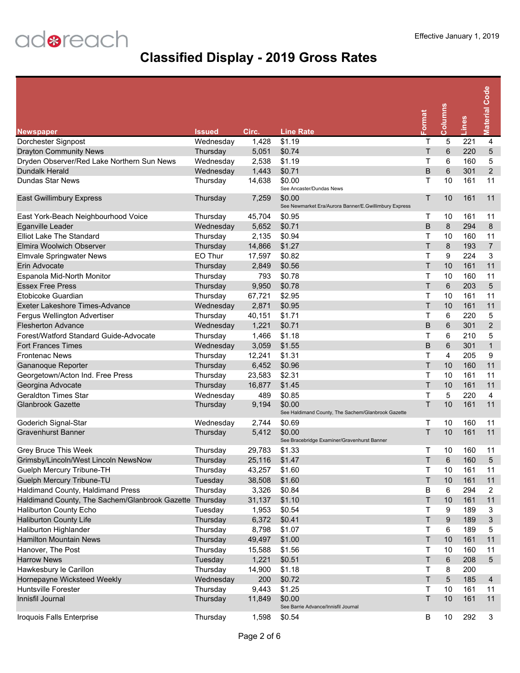| <b>Newspaper</b>                                        | Issued    | Circ.  | <b>Line Rate</b>                                                | Format | Columns         | Lines            | <b>Material Code</b> |
|---------------------------------------------------------|-----------|--------|-----------------------------------------------------------------|--------|-----------------|------------------|----------------------|
| Dorchester Signpost                                     | Wednesday | 1,428  | \$1.19                                                          | т      | 5               | $\overline{221}$ | $\overline{4}$       |
| <b>Drayton Community News</b>                           | Thursday  | 5,051  | \$0.74                                                          | T      | $\,6$           | 220              | $\overline{5}$       |
| Dryden Observer/Red Lake Northern Sun News              | Wednesday | 2,538  | \$1.19                                                          | Т      | 6               | 160              | 5                    |
| Dundalk Herald                                          | Wednesday | 1,443  | \$0.71                                                          | B      | 6               | 301              | $\overline{2}$       |
| Dundas Star News                                        | Thursday  | 14,638 | \$0.00                                                          | т      | 10              | 161              | 11                   |
|                                                         |           |        | See Ancaster/Dundas News                                        |        |                 |                  |                      |
| East Gwillimbury Express                                | Thursday  | 7,259  | \$0.00<br>See Newmarket Era/Aurora Banner/E.Gwillimbury Express | Τ      | 10              | 161              | 11                   |
| East York-Beach Neighbourhood Voice                     | Thursday  | 45,704 | \$0.95                                                          | Т      | 10              | 161              | 11                   |
| Eganville Leader                                        | Wednesday | 5,652  | \$0.71                                                          | B      | 8               | 294              | 8                    |
| <b>Elliot Lake The Standard</b>                         | Thursday  | 2,135  | \$0.94                                                          | т      | 10              | 160              | 11                   |
| <b>Elmira Woolwich Observer</b>                         | Thursday  | 14,866 | \$1.27                                                          | Τ      | 8               | 193              | $\overline{7}$       |
| <b>Elmvale Springwater News</b>                         | EO Thur   | 17,597 | \$0.82                                                          | т      | 9               | 224              | 3                    |
| Erin Advocate                                           | Thursday  | 2,849  | \$0.56                                                          | Τ      | 10              | 161              | 11                   |
| Espanola Mid-North Monitor                              | Thursday  | 793    | \$0.78                                                          | Т      | 10              | 160              | 11                   |
| <b>Essex Free Press</b>                                 | Thursday  | 9,950  | \$0.78                                                          | T      | 6               | 203              | 5                    |
| <b>Ftobicoke Guardian</b>                               | Thursday  | 67,721 | \$2.95                                                          | т      | 10              | 161              | 11                   |
| Exeter Lakeshore Times-Advance                          | Wednesday | 2,871  | \$0.95                                                          | T      | 10              | 161              | 11                   |
| Fergus Wellington Advertiser                            | Thursday  | 40,151 | \$1.71                                                          | Т      | 6               | 220              | 5                    |
| <b>Flesherton Advance</b>                               | Wednesday | 1,221  | \$0.71                                                          | B      | 6               | 301              | $\overline{2}$       |
| Forest/Watford Standard Guide-Advocate                  | Thursday  | 1,466  | \$1.18                                                          | Т      | 6               | 210              | 5                    |
| <b>Fort Frances Times</b>                               | Wednesday | 3,059  | \$1.55                                                          | B      | 6               | 301              | $\mathbf{1}$         |
| <b>Frontenac News</b>                                   | Thursday  | 12,241 | \$1.31                                                          | Τ      | $\overline{4}$  | 205              | 9                    |
| Gananoque Reporter                                      | Thursday  | 6,452  | \$0.96                                                          | T      | 10              | 160              | 11                   |
| Georgetown/Acton Ind. Free Press                        | Thursday  | 23,583 | \$2.31                                                          | Т      | 10              | 161              | 11                   |
| Georgina Advocate                                       | Thursday  | 16,877 | \$1.45                                                          | T      | 10              | 161              | 11                   |
| <b>Geraldton Times Star</b>                             | Wednesday | 489    | \$0.85                                                          | T      | 5               | 220              | 4                    |
| <b>Glanbrook Gazette</b>                                | Thursday  | 9,194  | \$0.00                                                          | Τ      | 10              | 161              | 11                   |
|                                                         |           |        | See Haldimand County, The Sachem/Glanbrook Gazette              |        |                 |                  |                      |
| Goderich Signal-Star                                    | Wednesday | 2,744  | \$0.69                                                          | Т      | 10              | 160              | 11                   |
| <b>Gravenhurst Banner</b>                               | Thursday  | 5,412  | \$0.00<br>See Bracebridge Examiner/Gravenhurst Banner           | Τ      | 10              | 161              | 11                   |
| Grey Bruce This Week                                    | Thursday  | 29,783 | \$1.33                                                          | т      | 10              | 160              | 11                   |
| Grimsby/Lincoln/West Lincoln NewsNow                    | Thursday  | 25,116 | \$1.47                                                          | т      | 6               | 160              | 5                    |
| Guelph Mercury Tribune-TH                               | Thursday  | 43,257 | \$1.60                                                          | Т      | 10              | 161              | 11                   |
| Guelph Mercury Tribune-TU                               | Tuesday   | 38,508 | \$1.60                                                          | Τ      | 10              | 161              | 11                   |
| Haldimand County, Haldimand Press                       | Thursday  | 3,326  | \$0.84                                                          | В      | 6               | 294              | 2                    |
| Haldimand County, The Sachem/Glanbrook Gazette Thursday |           | 31,137 | \$1.10                                                          | T      | 10              | 161              | 11                   |
| Haliburton County Echo                                  | Tuesday   | 1,953  | \$0.54                                                          | Τ      | 9               | 189              | 3                    |
| <b>Haliburton County Life</b>                           | Thursday  | 6,372  | \$0.41                                                          | T      | 9               | 189              | 3                    |
| Haliburton Highlander                                   | Thursday  | 8,798  | \$1.07                                                          | Т      | 6               | 189              | 5                    |
| <b>Hamilton Mountain News</b>                           | Thursday  | 49,497 | \$1.00                                                          | T      | 10              | 161              | 11                   |
| Hanover, The Post                                       | Thursday  | 15,588 | \$1.56                                                          | Τ      | 10              | 160              | 11                   |
| <b>Harrow News</b>                                      | Tuesday   | 1,221  | \$0.51                                                          | T      | $\,6\,$         | 208              | $\sqrt{5}$           |
| Hawkesbury le Carillon                                  | Thursday  | 14,900 | \$1.18                                                          | т      | 8               | 200              |                      |
| Hornepayne Wicksteed Weekly                             | Wednesday | 200    | \$0.72                                                          | T      | $5\phantom{.0}$ | 185              | $\overline{4}$       |
| <b>Huntsville Forester</b>                              | Thursday  | 9,443  | \$1.25                                                          | Τ      | 10              | 161              | 11                   |
| Innisfil Journal                                        | Thursday  | 11,849 | \$0.00<br>See Barrie Advance/Innisfil Journal                   | T      | 10              | 161              | 11                   |
| Iroquois Falls Enterprise                               | Thursday  | 1,598  | \$0.54                                                          | В      | 10              | 292              | 3                    |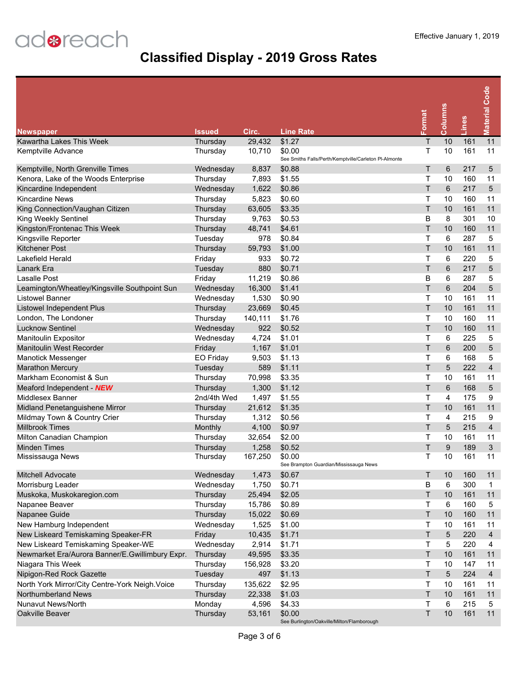|                                                 | <b>Issued</b> | Circ.   | <b>Line Rate</b>                                                | Format | Columns         | Lines | <b>Material Code</b>    |
|-------------------------------------------------|---------------|---------|-----------------------------------------------------------------|--------|-----------------|-------|-------------------------|
| <b>Newspaper</b><br>Kawartha Lakes This Week    | Thursday      | 29,432  | \$1.27                                                          | T      | 10              | 161   | 11                      |
| Kemptville Advance                              | Thursday      | 10,710  | \$0.00<br>See Smiths Falls/Perth/Kemptville/Carleton PI-Almonte | т      | 10              | 161   | 11                      |
| Kemptville, North Grenville Times               | Wednesday     | 8,837   | \$0.88                                                          | Τ      | 6               | 217   | 5                       |
| Kenora, Lake of the Woods Enterprise            | Thursday      | 7,893   | \$1.55                                                          | Τ      | 10              | 160   | 11                      |
| Kincardine Independent                          | Wednesday     | 1,622   | \$0.86                                                          | T      | 6               | 217   | 5                       |
| <b>Kincardine News</b>                          | Thursday      | 5,823   | \$0.60                                                          | Τ      | 10              | 160   | 11                      |
| King Connection/Vaughan Citizen                 | Thursday      | 63,605  | \$3.35                                                          | T      | 10              | 161   | 11                      |
| King Weekly Sentinel                            | Thursday      | 9,763   | \$0.53                                                          | B      | 8               | 301   | 10                      |
| Kingston/Frontenac This Week                    | Thursday      | 48,741  | \$4.61                                                          | T      | 10              | 160   | 11                      |
| Kingsville Reporter                             | Tuesday       | 978     | \$0.84                                                          | т      | 6               | 287   | 5                       |
| <b>Kitchener Post</b>                           | Thursday      | 59,793  | \$1.00                                                          | T      | 10              | 161   | 11                      |
| Lakefield Herald                                | Friday        | 933     | \$0.72                                                          | T      | 6               | 220   | 5                       |
| Lanark Era                                      | Tuesday       | 880     | \$0.71                                                          | T      | $6\phantom{1}6$ | 217   | 5                       |
| <b>Lasalle Post</b>                             | Friday        | 11,219  | \$0.86                                                          | В      | 6               | 287   | 5                       |
| Leamington/Wheatley/Kingsville Southpoint Sun   | Wednesday     | 16,300  | \$1.41                                                          | T      | 6               | 204   | 5                       |
| Listowel Banner                                 | Wednesday     | 1,530   | \$0.90                                                          | T      | 10              | 161   | 11                      |
| <b>Listowel Independent Plus</b>                | Thursday      | 23,669  | \$0.45                                                          | T      | 10              | 161   | 11                      |
| London, The Londoner                            | Thursday      | 140,111 | \$1.76                                                          | Τ      | 10              | 160   | 11                      |
| <b>Lucknow Sentinel</b>                         | Wednesday     | 922     | \$0.52                                                          | T      | 10              | 160   | 11                      |
| Manitoulin Expositor                            | Wednesday     | 4,724   | \$1.01                                                          | Τ      | 6               | 225   | 5                       |
| <b>Manitoulin West Recorder</b>                 | Friday        | 1,167   | \$1.01                                                          | T      | $6\phantom{1}6$ | 200   | 5                       |
| <b>Manotick Messenger</b>                       | EO Friday     | 9,503   | \$1.13                                                          | Τ      | 6               | 168   | 5                       |
| <b>Marathon Mercury</b>                         | Tuesday       | 589     | \$1.11                                                          | T      | 5               | 222   | $\overline{4}$          |
| Markham Economist & Sun                         | Thursday      | 70,998  | \$3.35                                                          | т      | 10              | 161   | 11                      |
| Meaford Independent NEW                         | Thursday      | 1,300   | \$1.12                                                          | T      | 6               | 168   | 5                       |
| Middlesex Banner                                | 2nd/4th Wed   | 1,497   | \$1.55                                                          | T      | 4               | 175   | 9                       |
| Midland Penetanguishene Mirror                  | Thursday      | 21,612  | \$1.35                                                          | T      | 10              | 161   | 11                      |
| Mildmay Town & Country Crier                    | Thursday      | 1,312   | \$0.56                                                          | Τ      | 4               | 215   | 9                       |
| <b>Millbrook Times</b>                          | Monthly       | 4,100   | \$0.97                                                          | T      | 5               | 215   | $\overline{\mathbf{4}}$ |
| Milton Canadian Champion                        | Thursday      | 32,654  | \$2.00                                                          | Т      | 10              | 161   | 11                      |
| <b>Minden Times</b>                             | Thursday      | 1,258   | \$0.52                                                          | Τ      | 9               | 189   | 3                       |
| Mississauga News                                | Thursday      | 167,250 | \$0.00<br>See Brampton Guardian/Mississauga News                | Τ      | 10              | 161   | 11                      |
| Mitchell Advocate                               | Wednesday     | 1,473   | \$0.67                                                          | Τ      | 10              | 160   | 11                      |
| Morrisburg Leader                               | Wednesday     | 1,750   | \$0.71                                                          | В      | 6               | 300   | $\mathbf{1}$            |
| Muskoka, Muskokaregion.com                      | Thursday      | 25,494  | \$2.05                                                          | Τ      | 10              | 161   | 11                      |
| Napanee Beaver                                  | Thursday      | 15,786  | \$0.89                                                          | Т      | 6               | 160   | 5                       |
| Napanee Guide                                   | Thursday      | 15,022  | \$0.69                                                          | T      | 10              | 160   | 11                      |
| New Hamburg Independent                         | Wednesday     | 1,525   | \$1.00                                                          | т      | 10              | 161   | 11                      |
| New Liskeard Temiskaming Speaker-FR             | Friday        | 10,435  | \$1.71                                                          | Τ      | $\sqrt{5}$      | 220   | $\overline{4}$          |
| New Liskeard Temiskaming Speaker-WE             | Wednesday     | 2,914   | \$1.71                                                          | т      | 5               | 220   | 4                       |
| Newmarket Era/Aurora Banner/E.Gwillimbury Expr. | Thursday      | 49,595  | \$3.35                                                          | Τ      | 10              | 161   | 11                      |
| Niagara This Week                               | Thursday      | 156,928 | \$3.20                                                          | Т      | 10              | 147   | 11                      |
| Nipigon-Red Rock Gazette                        | Tuesday       | 497     | \$1.13                                                          | T      | $5\phantom{.0}$ | 224   | $\overline{4}$          |
| North York Mirror/City Centre-York Neigh. Voice | Thursday      | 135,622 | \$2.95                                                          | Т      | 10              | 161   | 11                      |
| Northumberland News                             | Thursday      | 22,338  | \$1.03                                                          | T      | 10              | 161   | 11                      |
| Nunavut News/North                              | Monday        | 4,596   | \$4.33                                                          | T      | 6               | 215   | 5                       |
| Oakville Beaver                                 | Thursday      | 53,161  | \$0.00<br>See Burlington/Oakville/Milton/Flamborough            | T      | 10              | 161   | 11                      |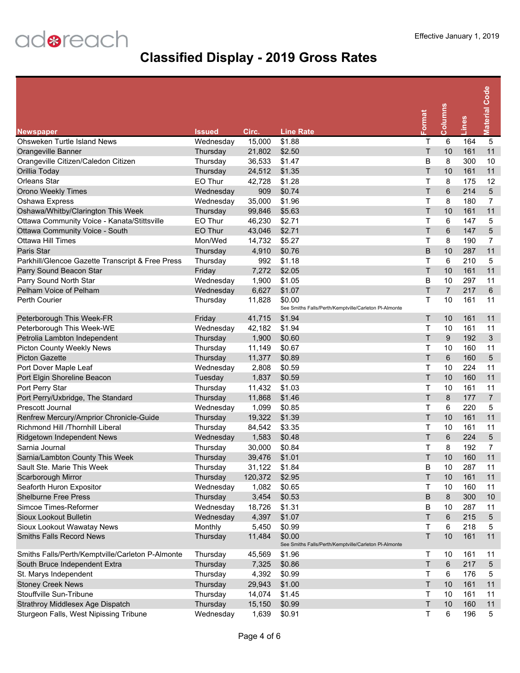| <b>Newspaper</b>                                 | <b>Issued</b> | Circ.   | <b>Line Rate</b>                                                | Format  | Columns        | Lines | <b>Material Code</b> |
|--------------------------------------------------|---------------|---------|-----------------------------------------------------------------|---------|----------------|-------|----------------------|
| Ohsweken Turtle Island News                      | Wednesday     | 15,000  | \$1.88                                                          | т       | 6              | 164   | $\overline{5}$       |
| Orangeville Banner                               | Thursday      | 21,802  | \$2.50                                                          | T       | 10             | 161   | 11                   |
| Orangeville Citizen/Caledon Citizen              | Thursday      | 36,533  | \$1.47                                                          | B       | 8              | 300   | 10                   |
| Orillia Today                                    | Thursday      | 24,512  | \$1.35                                                          | T.      | 10             | 161   | 11                   |
| <b>Orleans Star</b>                              | EO Thur       | 42,728  | \$1.28                                                          | Τ       | 8              | 175   | 12                   |
| <b>Orono Weekly Times</b>                        | Wednesday     | 909     | \$0.74                                                          | Τ       | 6              | 214   | 5                    |
| Oshawa Express                                   | Wednesday     | 35,000  | \$1.96                                                          | Τ       | 8              | 180   | $\overline{7}$       |
| Oshawa/Whitby/Clarington This Week               | Thursday      | 99,846  | \$5.63                                                          | T       | 10             | 161   | 11                   |
| Ottawa Community Voice - Kanata/Stittsville      | EO Thur       | 46,230  | \$2.71                                                          | Τ       | 6              | 147   | 5                    |
| Ottawa Community Voice - South                   | EO Thur       | 43,046  | \$2.71                                                          | T       | 6              | 147   | 5                    |
| <b>Ottawa Hill Times</b>                         | Mon/Wed       | 14,732  | \$5.27                                                          | T       | 8              | 190   | $\overline{7}$       |
| Paris Star                                       | Thursday      | 4,910   | \$0.76                                                          | B       | 10             | 287   | 11                   |
| Parkhill/Glencoe Gazette Transcript & Free Press | Thursday      | 992     | \$1.18                                                          | Τ       | 6              | 210   | 5                    |
| Parry Sound Beacon Star                          | Friday        | 7,272   | \$2.05                                                          | T.      | 10             | 161   | 11                   |
| Parry Sound North Star                           | Wednesday     | 1,900   | \$1.05                                                          | B       | 10             | 297   | 11                   |
| Pelham Voice of Pelham                           | Wednesday     | 6,627   | \$1.07                                                          | T.      | $\overline{7}$ | 217   | $6\phantom{1}6$      |
| <b>Perth Courier</b>                             | Thursday      | 11,828  | \$0.00                                                          | т       | 10             | 161   | 11                   |
|                                                  |               |         | See Smiths Falls/Perth/Kemptville/Carleton PI-Almonte           |         |                |       |                      |
| Peterborough This Week-FR                        | Friday        | 41,715  | \$1.94                                                          | T       | 10             | 161   | 11                   |
| Peterborough This Week-WE                        | Wednesday     | 42,182  | \$1.94                                                          | Τ       | 10             | 161   | 11                   |
| Petrolia Lambton Independent                     | Thursday      | 1,900   | \$0.60                                                          | T       | $9\,$          | 192   | 3                    |
| Picton County Weekly News                        | Thursday      | 11,149  | \$0.67                                                          | Τ       | 10             | 160   | 11                   |
| <b>Picton Gazette</b>                            | Thursday      | 11,377  | \$0.89                                                          | T.      | 6              | 160   | 5                    |
| Port Dover Maple Leaf                            | Wednesday     | 2,808   | \$0.59                                                          | T       | 10             | 224   | 11                   |
| Port Elgin Shoreline Beacon                      | Tuesday       | 1,837   | \$0.59                                                          | T.      | 10             | 160   | 11                   |
| Port Perry Star                                  | Thursday      | 11,432  | \$1.03                                                          | T       | 10             | 161   | 11                   |
| Port Perry/Uxbridge, The Standard                | Thursday      | 11,868  | \$1.46                                                          | T       | 8              | 177   | $\overline{7}$       |
| Prescott Journal                                 | Wednesday     | 1,099   | \$0.85                                                          | т       | 6              | 220   | 5                    |
| Renfrew Mercury/Arnprior Chronicle-Guide         | Thursday      | 19,322  | \$1.39                                                          | T       | 10             | 161   | 11                   |
| Richmond Hill /Thornhill Liberal                 | Thursday      | 84,542  | \$3.35                                                          | Τ       | 10             | 161   | 11                   |
| Ridgetown Independent News                       | Wednesday     | 1,583   | \$0.48                                                          | Τ       | 6              | 224   | 5                    |
| Sarnia Journal                                   | Thursday      | 30,000  | \$0.84                                                          | Т       | 8              | 192   | $\overline{7}$       |
| Sarnia/Lambton County This Week                  | Thursday      | 39,476  | \$1.01                                                          | T       | 10             | 160   | 11                   |
| Sault Ste. Marie This Week                       | Thursday      | 31,122  | \$1.84                                                          | В       | 10             | 287   | 11                   |
| Scarborough Mirror                               | Thursday      | 120,372 | \$2.95                                                          | Τ       | 10             | 161   | 11                   |
| Seaforth Huron Expositor                         | Wednesday     | 1,082   | \$0.65                                                          | Т       | 10             | 160   | 11                   |
| <b>Shelburne Free Press</b>                      | Thursday      | 3,454   | \$0.53                                                          | B       | 8              | 300   | 10                   |
| Simcoe Times-Reformer                            | Wednesday     | 18,726  | \$1.31                                                          | В       | 10             | 287   | 11                   |
| Sioux Lookout Bulletin                           | Wednesday     | 4,397   | \$1.07                                                          | T.      | 6              | 215   | 5                    |
| Sioux Lookout Wawatay News                       | Monthly       | 5,450   | \$0.99                                                          | Τ       | 6              | 218   | 5                    |
| <b>Smiths Falls Record News</b>                  | Thursday      | 11,484  | \$0.00<br>See Smiths Falls/Perth/Kemptville/Carleton PI-Almonte | Τ       | 10             | 161   | 11                   |
| Smiths Falls/Perth/Kemptville/Carleton P-Almonte | Thursday      | 45,569  | \$1.96                                                          | Т       | 10             | 161   | 11                   |
| South Bruce Independent Extra                    | Thursday      | 7,325   | \$0.86                                                          | $\sf T$ | 6              | 217   | 5                    |
| St. Marys Independent                            | Thursday      | 4,392   | \$0.99                                                          | Τ       | 6              | 176   | 5                    |
| <b>Stoney Creek News</b>                         | Thursday      | 29,943  | \$1.00                                                          | $\sf T$ | 10             | 161   | 11                   |
| Stouffville Sun-Tribune                          | Thursday      | 14,074  | \$1.45                                                          | т       | 10             | 161   | 11                   |
| Strathroy Middlesex Age Dispatch                 | Thursday      | 15,150  | \$0.99                                                          | $\sf T$ | 10             | 160   | 11                   |
| Sturgeon Falls, West Nipissing Tribune           | Wednesday     | 1,639   | \$0.91                                                          | T.      | 6              | 196   | 5                    |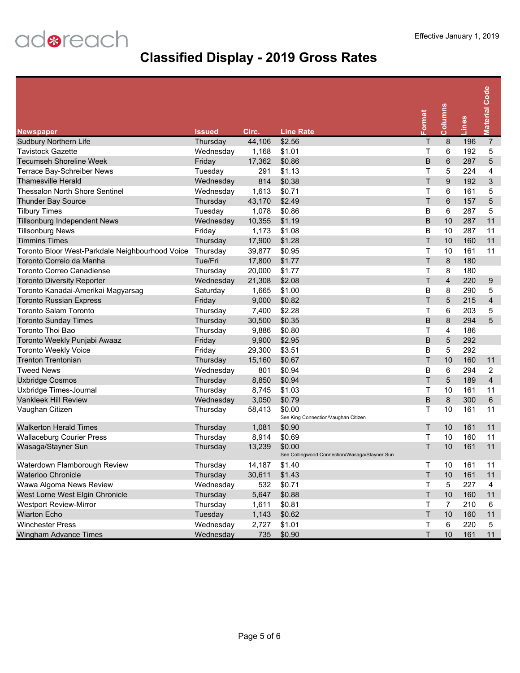| <b>Newspaper</b>                                | Issued    | Circ.  | <b>Line Rate</b>                                        | Format | Columns        | Lines | <b>Material Code</b>    |
|-------------------------------------------------|-----------|--------|---------------------------------------------------------|--------|----------------|-------|-------------------------|
| <b>Sudbury Northern Life</b>                    | Thursday  | 44,106 | \$2.56                                                  | Τ      | 8              | 196   | $\overline{7}$          |
| <b>Tavistock Gazette</b>                        | Wednesday | 1,168  | \$1.01                                                  | T      | 6              | 192   | 5                       |
| <b>Tecumseh Shoreline Week</b>                  | Friday    | 17,362 | \$0.86                                                  | B      | 6              | 287   | $\overline{5}$          |
| Terrace Bay-Schreiber News                      | Tuesday   | 291    | \$1.13                                                  | Τ      | 5              | 224   | $\overline{4}$          |
| <b>Thamesville Herald</b>                       | Wednesday | 814    | \$0.38                                                  | T      | 9              | 192   | $\mathbf{3}$            |
| Thessalon North Shore Sentinel                  | Wednesday | 1,613  | \$0.71                                                  | Τ      | 6              | 161   | 5                       |
| Thunder Bay Source                              | Thursday  | 43,170 | \$2.49                                                  | T      | 6              | 157   | 5                       |
| <b>Tilbury Times</b>                            | Tuesday   | 1,078  | \$0.86                                                  | B      | 6              | 287   | 5                       |
| <b>Tillsonburg Independent News</b>             | Wednesday | 10,355 | \$1.19                                                  | B      | 10             | 287   | 11                      |
| <b>Tillsonburg News</b>                         | Friday    | 1,173  | \$1.08                                                  | B      | 10             | 287   | 11                      |
| <b>Timmins Times</b>                            | Thursday  | 17,900 | \$1.28                                                  | T      | 10             | 160   | 11                      |
| Toronto Bloor West-Parkdale Neighbourhood Voice | Thursday  | 39,877 | \$0.95                                                  | T      | 10             | 161   | 11                      |
| Toronto Correio da Manha                        | Tue/Fri   | 17,800 | \$1.77                                                  | T      | 8              | 180   |                         |
| <b>Toronto Correo Canadiense</b>                | Thursday  | 20,000 | \$1.77                                                  | Τ      | 8              | 180   |                         |
| <b>Toronto Diversity Reporter</b>               | Wednesday | 21,308 | \$2.08                                                  | T.     | $\overline{4}$ | 220   | 9                       |
| Toronto Kanadai-Amerikai Magyarsag              | Saturday  | 1,665  | \$1.00                                                  | B      | 8              | 290   | 5                       |
| <b>Toronto Russian Express</b>                  | Friday    | 9,000  | \$0.82                                                  | T.     | 5              | 215   | $\overline{\mathbf{4}}$ |
| Toronto Salam Toronto                           | Thursday  | 7,400  | \$2.28                                                  | Τ      | 6              | 203   | 5                       |
| <b>Toronto Sunday Times</b>                     | Thursday  | 30,500 | \$0.35                                                  | B      | 8              | 294   | 5                       |
| <b>Toronto Thoi Bao</b>                         | Thursday  | 9,886  | \$0.80                                                  | Т      | 4              | 186   |                         |
| Toronto Weekly Punjabi Awaaz                    | Friday    | 9,900  | \$2.95                                                  | B      | 5              | 292   |                         |
| <b>Toronto Weekly Voice</b>                     | Friday    | 29,300 | \$3.51                                                  | B      | 5              | 292   |                         |
| <b>Trenton Trentonian</b>                       | Thursday  | 15,160 | \$0.67                                                  | T      | 10             | 160   | 11                      |
| <b>Tweed News</b>                               | Wednesday | 801    | \$0.94                                                  | B      | 6              | 294   | 2                       |
| <b>Uxbridge Cosmos</b>                          | Thursday  | 8,850  | \$0.94                                                  | T      | 5              | 189   | $\overline{4}$          |
| Uxbridge Times-Journal                          | Thursday  | 8,745  | \$1.03                                                  | Τ      | 10             | 161   | 11                      |
| Vankleek Hill Review                            | Wednesday | 3,050  | \$0.79                                                  | B      | 8              | 300   | 6                       |
| Vaughan Citizen                                 | Thursday  | 58,413 | \$0.00<br>See King Connection/Vaughan Citizen           | т      | 10             | 161   | 11                      |
| <b>Walkerton Herald Times</b>                   | Thursday  | 1,081  | \$0.90                                                  | Τ      | 10             | 161   | 11                      |
| <b>Wallaceburg Courier Press</b>                | Thursday  | 8,914  | \$0.69                                                  | Т      | 10             | 160   | 11                      |
| Wasaga/Stayner Sun                              | Thursday  | 13,239 | \$0.00<br>See Collingwood Connection/Wasaga/Stayner Sun | T.     | 10             | 161   | 11                      |
| Waterdown Flamborough Review                    | Thursday  | 14,187 | \$1.40                                                  | т      | 10             | 161   | 11                      |
| Waterloo Chronicle                              | Thursday  | 30,611 | \$1.43                                                  | T.     | 10             | 161   | 11                      |
| Wawa Algoma News Review                         | Wednesday | 532    | \$0.71                                                  | Τ      | 5              | 227   | 4                       |
| West Lorne West Elgin Chronicle                 | Thursday  | 5,647  | \$0.88                                                  | T.     | $10$           | 160   | 11                      |
| <b>Westport Review-Mirror</b>                   | Thursday  | 1,611  | \$0.81                                                  | Τ      | $\overline{7}$ | 210   | 6                       |
| <b>Wiarton Echo</b>                             | Tuesday   | 1,143  | \$0.62                                                  | T.     | $10$           | 160   | 11                      |
| <b>Winchester Press</b>                         | Wednesday | 2,727  | \$1.01                                                  | Τ      | 6              | 220   | 5                       |
| Wingham Advance Times                           | Wednesday | 735    | \$0.90                                                  | T.     | 10             | 161   | 11                      |